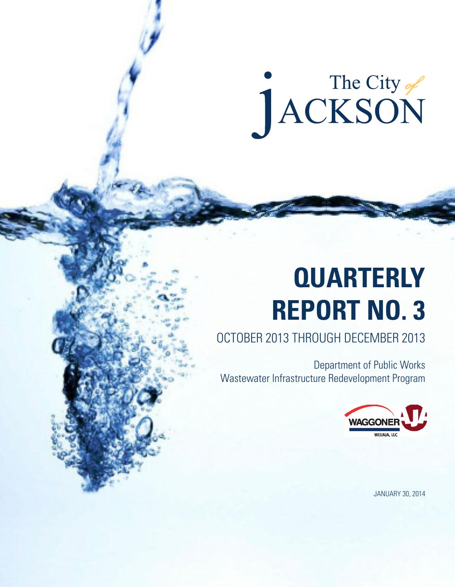# The City of

# **QUARTERLY REPORT NO. 3**

### OCTOBER 2013 THROUGH DECEMBER 2013

Department of Public Works Wastewater Infrastructure Redevelopment Program



JANUARY 30, 2014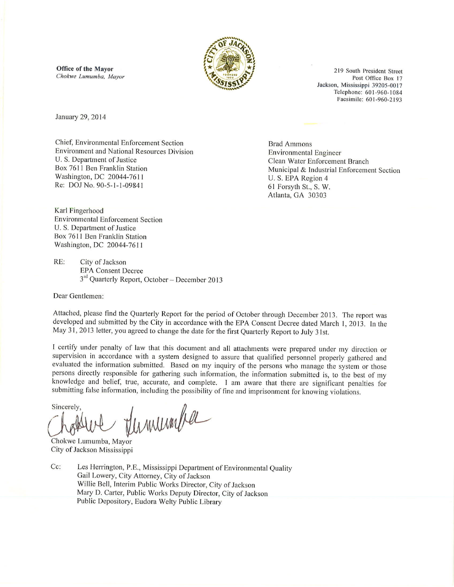**Office of the Mayor** Chokwe Lumumba, Mayor



219 South President Street Post Office Box 17 Jackson, Mississippi 39205-0017 Telephone: 601-960-1084 Facsimile: 601-960-2193

January 29, 2014

Chief, Environmental Enforcement Section **Environment and National Resources Division** U. S. Department of Justice Box 7611 Ben Franklin Station Washington, DC 20044-7611 Re: DOJ No. 90-5-1-1-09841

**Brad Ammons Environmental Engineer** Clean Water Enforcement Branch Municipal & Industrial Enforcement Section U. S. EPA Region 4 61 Forsyth St., S. W. Atlanta, GA 30303

Karl Fingerhood **Environmental Enforcement Section** U. S. Department of Justice Box 7611 Ben Franklin Station Washington, DC 20044-7611

 $RE:$ City of Jackson **EPA Consent Decree** 3<sup>rd</sup> Quarterly Report, October - December 2013

Dear Gentlemen:

Attached, please find the Quarterly Report for the period of October through December 2013. The report was developed and submitted by the City in accordance with the EPA Consent Decree dated March 1, 2013. In the May 31, 2013 letter, you agreed to change the date for the first Quarterly Report to July 31st.

I certify under penalty of law that this document and all attachments were prepared under my direction or supervision in accordance with a system designed to assure that qualified personnel properly gathered and evaluated the information submitted. Based on my inquiry of the persons who manage the system or those persons directly responsible for gathering such information, the information submitted is, to the best of my knowledge and belief, true, accurate, and complete. I am aware that there are significant penalties for submitting false information, including the possibility of fine and imprisonment for knowing violations.

Sincerely. Verminigher

Chokwe Lumumba, Mayor City of Jackson Mississippi

Cc: Les Herrington, P.E., Mississippi Department of Environmental Quality Gail Lowery, City Attorney, City of Jackson Willie Bell, Interim Public Works Director, City of Jackson Mary D. Carter, Public Works Deputy Director, City of Jackson Public Depository, Eudora Welty Public Library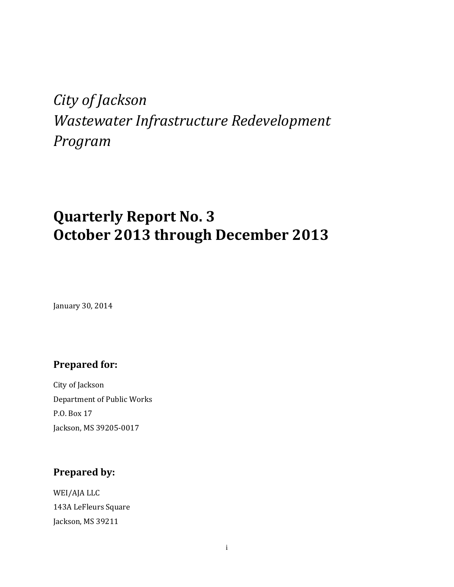# *City of Jackson Wastewater Infrastructure Redevelopment Program*

# **Quarterly Report No. 3 October 2013 through December 2013**

January 30, 2014

#### **Prepared** for:

City of Jackson Department of Public Works P.O. Box 17 Jackson, MS 39205-0017

#### **Prepared by:**

WEI/AJA LLC 143A LeFleurs Square Jackson, MS 39211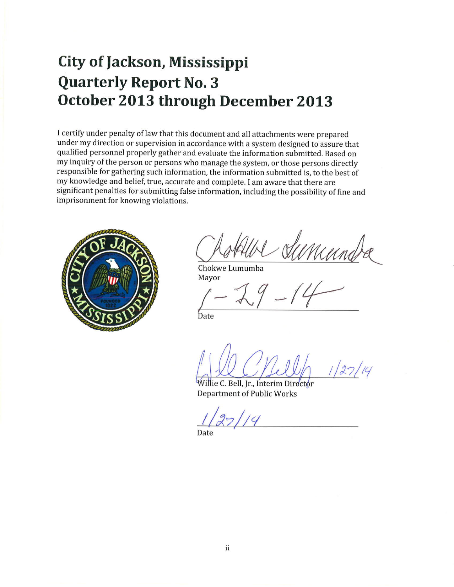# **City of Jackson, Mississippi Quarterly Report No. 3** October 2013 through December 2013

I certify under penalty of law that this document and all attachments were prepared under my direction or supervision in accordance with a system designed to assure that qualified personnel properly gather and evaluate the information submitted. Based on my inquiry of the person or persons who manage the system, or those persons directly responsible for gathering such information, the information submitted is, to the best of my knowledge and belief, true, accurate and complete. I am aware that there are significant penalties for submitting false information, including the possibility of fine and imprisonment for knowing violations.



Chokwe Lumumba Mayor

Date

Villie C. Bell, Jr., Interim Directør **Department of Public Works**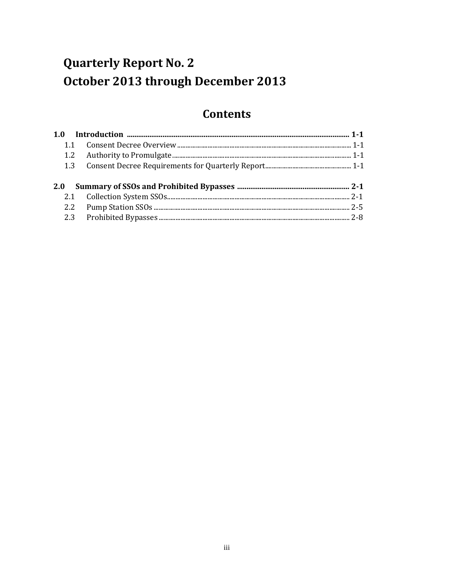## **Quarterly Report No. 2** October 2013 through December 2013

#### **Contents**

| 1.1 |  |
|-----|--|
|     |  |
|     |  |
|     |  |
|     |  |
|     |  |
|     |  |
|     |  |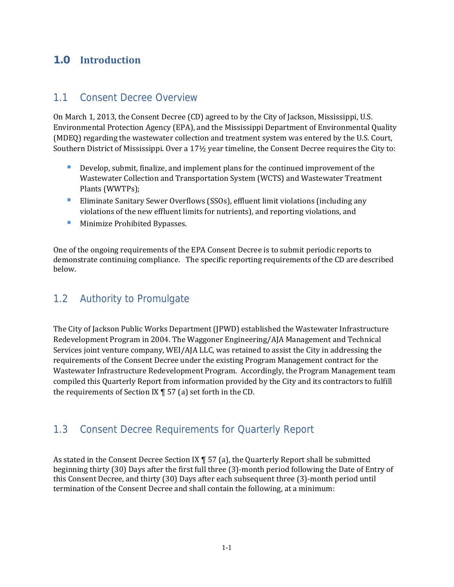#### **1.0 Introduction**

#### 1.1 Consent Decree Overview

On March 1, 2013, the Consent Decree (CD) agreed to by the City of Jackson, Mississippi, U.S. Environmental Protection Agency (EPA), and the Mississippi Department of Environmental Quality (MDEQ) regarding the wastewater collection and treatment system was entered by the U.S. Court, Southern District of Mississippi. Over a  $17\frac{1}{2}$  year timeline, the Consent Decree requires the City to:

- Develop, submit, finalize, and implement plans for the continued improvement of the Wastewater Collection and Transportation System (WCTS) and Wastewater Treatment Plants (WWTPs);
- **Eliminate Sanitary Sewer Overflows (SSOs), effluent limit violations (including any** violations of the new effluent limits for nutrients), and reporting violations, and
- **Minimize Prohibited Bypasses.**

One of the ongoing requirements of the EPA Consent Decree is to submit periodic reports to demonstrate continuing compliance. The specific reporting requirements of the CD are described below. 

#### 1.2 Authority to Promulgate

The City of Jackson Public Works Department (JPWD) established the Wastewater Infrastructure Redevelopment Program in 2004. The Waggoner Engineering/AJA Management and Technical Services joint venture company, WEI/AJA LLC, was retained to assist the City in addressing the requirements of the Consent Decree under the existing Program Management contract for the Wastewater Infrastructure Redevelopment Program. Accordingly, the Program Management team compiled this Quarterly Report from information provided by the City and its contractors to fulfill the requirements of Section IX  $\P$  57 (a) set forth in the CD.

#### 1.3 Consent Decree Requirements for Quarterly Report

As stated in the Consent Decree Section IX  $\P$  57 (a), the Quarterly Report shall be submitted beginning thirty (30) Days after the first full three (3)-month period following the Date of Entry of this Consent Decree, and thirty (30) Days after each subsequent three (3)-month period until termination of the Consent Decree and shall contain the following, at a minimum: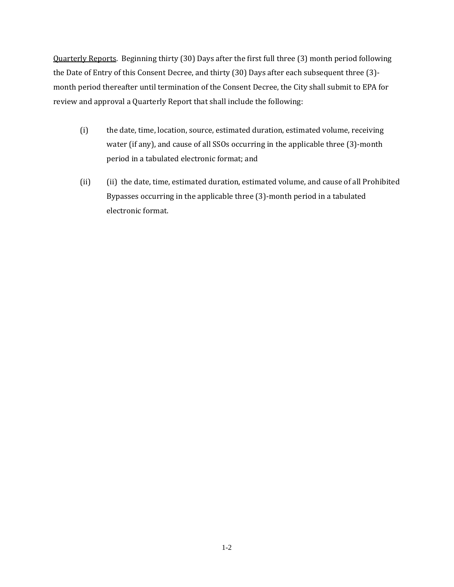Quarterly Reports. Beginning thirty (30) Days after the first full three (3) month period following the Date of Entry of this Consent Decree, and thirty (30) Days after each subsequent three (3)month period thereafter until termination of the Consent Decree, the City shall submit to EPA for review and approval a Quarterly Report that shall include the following:

- (i) the date, time, location, source, estimated duration, estimated volume, receiving water (if any), and cause of all SSOs occurring in the applicable three (3)-month period in a tabulated electronic format; and
- (ii) (ii) the date, time, estimated duration, estimated volume, and cause of all Prohibited Bypasses occurring in the applicable three (3)-month period in a tabulated electronic format.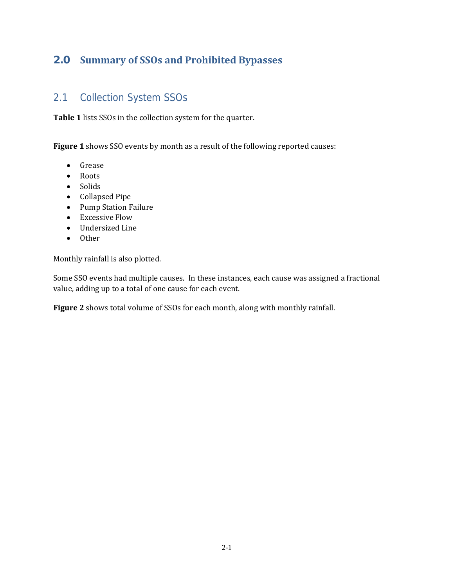#### **2.0 Summary of SSOs and Prohibited Bypasses**

#### 2.1 Collection System SSOs

Table 1 lists SSOs in the collection system for the quarter.

**Figure 1** shows SSO events by month as a result of the following reported causes:

- Grease
- Roots
- Solids
- Collapsed Pipe
- Pump Station Failure
- Excessive Flow
- Undersized Line
- Other

Monthly rainfall is also plotted.

Some SSO events had multiple causes. In these instances, each cause was assigned a fractional value, adding up to a total of one cause for each event.

Figure 2 shows total volume of SSOs for each month, along with monthly rainfall.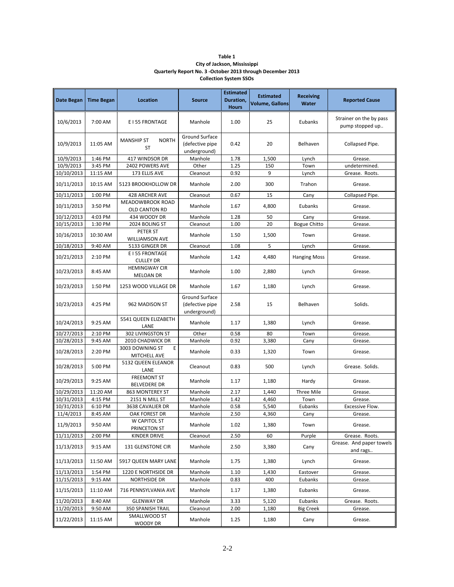| Table 1                                                    |
|------------------------------------------------------------|
| City of Jackson, Mississippi                               |
| Quarterly Report No. 3 -October 2013 through December 2013 |
| <b>Collection System SSOs</b>                              |

| Date Began             | <b>Time Began</b>  | <b>Location</b>                                | <b>Source</b>                                     | <b>Estimated</b><br>Duration,<br><b>Hours</b> | <b>Estimated</b><br><b>Volume, Gallons</b> | <b>Receiving</b><br><b>Water</b> | <b>Reported Cause</b>                      |
|------------------------|--------------------|------------------------------------------------|---------------------------------------------------|-----------------------------------------------|--------------------------------------------|----------------------------------|--------------------------------------------|
| 10/6/2013              | 7:00 AM            | E I 55 FRONTAGE                                | Manhole                                           | 1.00                                          | 25                                         | Eubanks                          | Strainer on the by pass<br>pump stopped up |
| 10/9/2013              | 11:05 AM           | <b>NORTH</b><br><b>MANSHIP ST</b><br><b>ST</b> | Ground Surface<br>(defective pipe<br>underground) | 0.42                                          | 20                                         | Belhaven                         | Collapsed Pipe.                            |
| 10/9/2013              | 1:46 PM            | 417 WINDSOR DR                                 | Manhole                                           | 1.78                                          | 1,500                                      | Lynch                            | Grease.                                    |
| 10/9/2013              | 3:45 PM            | 2402 POWERS AVE                                | Other                                             | 1.25                                          | 150                                        | Town                             | undetermined.                              |
| 10/10/2013             | 11:15 AM           | 173 ELLIS AVE                                  | Cleanout                                          | 0.92                                          | 9                                          | Lynch                            | Grease. Roots.                             |
| 10/11/2013             | 10:15 AM           | 5123 BROOKHOLLOW DR                            | Manhole                                           | 2.00                                          | 300                                        | Trahon                           | Grease.                                    |
| 10/11/2013             | 1:00 PM            | 428 ARCHER AVE                                 | Cleanout                                          | 0.67                                          | 15                                         | Cany                             | Collapsed Pipe.                            |
| 10/11/2013             | 3:50 PM            | MEADOWBROOK ROAD<br>OLD CANTON RD              | Manhole                                           | 1.67                                          | 4,800                                      | Eubanks                          | Grease.                                    |
| 10/12/2013             | 4:03 PM            | 434 WOODY DR                                   | Manhole                                           | 1.28                                          | 50                                         | Cany                             | Grease.                                    |
| 10/15/2013             | 1:30 PM            | 2024 BOLING ST                                 | Cleanout                                          | 1.00                                          | 20                                         | <b>Bogue Chitto</b>              | Grease.                                    |
| 10/16/2013             | 10:30 AM           | PETER ST<br><b>WILLIAMSON AVE</b>              | Manhole                                           | 1.50                                          | 1,500                                      | Town                             | Grease.                                    |
| 10/18/2013             | 9:40 AM            | 5133 GINGER DR                                 | Cleanout                                          | 1.08                                          | 5                                          | Lynch                            | Grease.                                    |
| 10/21/2013             | 2:10 PM            | E I 55 FRONTAGE<br><b>CULLEY DR</b>            | Manhole                                           | 1.42                                          | 4,480                                      | <b>Hanging Moss</b>              | Grease.                                    |
| 10/23/2013             | 8:45 AM            | <b>HEMINGWAY CIR</b><br>MELOAN DR              | Manhole                                           | 1.00                                          | 2,880                                      | Lynch                            | Grease.                                    |
| 10/23/2013             | 1:50 PM            | 1253 WOOD VILLAGE DR                           | Manhole                                           | 1.67                                          | 1,180                                      | Lynch                            | Grease.                                    |
| 10/23/2013             | 4:25 PM            | 962 MADISON ST                                 | Ground Surface<br>(defective pipe<br>underground) | 2.58                                          | 15                                         | Belhaven                         | Solids.                                    |
| 10/24/2013             | 9:25 AM            | 5541 QUEEN ELIZABETH<br>LANE                   | Manhole                                           | 1.17                                          | 1,380                                      | Lynch                            | Grease.                                    |
| 10/27/2013             | 2:10 PM            | 302 LIVINGSTON ST                              | Other                                             | 0.58                                          | 80                                         | Town                             | Grease.                                    |
| 10/28/2013             | 9:45 AM            | 2010 CHADWICK DR                               | Manhole                                           | 0.92                                          | 3,380                                      | Cany                             | Grease.                                    |
| 10/28/2013             | 2:20 PM            | 3003 DOWNING ST<br>E<br>MITCHELL AVE           | Manhole                                           | 0.33                                          | 1,320                                      | Town                             | Grease.                                    |
| 10/28/2013             | 5:00 PM            | 5132 QUEEN ELEANOR<br>LANE                     | Cleanout                                          | 0.83                                          | 500                                        | Lynch                            | Grease. Solids.                            |
| 10/29/2013             | 9:25 AM            | <b>FREEMONT ST</b><br><b>BELVEDERE DR</b>      | Manhole                                           | 1.17                                          | 1,180                                      | Hardy                            | Grease.                                    |
| 10/29/2013             | 11:20 AM           | 863 MONTEREY ST                                | Manhole                                           | 2.17                                          | 1,440                                      | Three Mile                       | Grease.                                    |
| 10/31/2013             | 4:15 PM            | 2151 N MILL ST                                 | Manhole                                           | 1.42                                          | 4,460                                      | Town                             | Grease.                                    |
| 10/31/2013             | 6:10 PM            | 3638 CAVALIER DR                               | Manhole                                           | 0.58                                          | 5,540                                      | Eubanks                          | Excessive Flow.                            |
| 11/4/2013<br>11/9/2013 | 8:45 AM<br>9:50 AM | OAK FOREST DR<br>W CAPITOL ST                  | Manhole<br>Manhole                                | 2.50<br>1.02                                  | 4,360<br>1,380                             | Cany<br>Town                     | Grease.<br>Grease.                         |
| 11/11/2013             | 2:00 PM            | PRINCETON ST<br><b>KINDER DRIVE</b>            | Cleanout                                          | 2.50                                          | 60                                         | Purple                           | Grease. Roots.                             |
| 11/13/2013             | 9:15 AM            | 131 GLENSTONE CIR                              | Manhole                                           | 2.50                                          | 3,380                                      | Cany                             | Grease. And paper towels<br>and rags       |
| 11/13/2013             | 11:50 AM           | 5917 QUEEN MARY LANE                           | Manhole                                           | 1.75                                          | 1,380                                      | Lynch                            | Grease.                                    |
| 11/13/2013             | 1:54 PM            | 1220 E NORTHSIDE DR                            | Manhole                                           | 1.10                                          | 1,430                                      | Eastover                         | Grease.                                    |
| 11/15/2013             | 9:15 AM            | NORTHSIDE DR                                   | Manhole                                           | 0.83                                          | 400                                        | Eubanks                          | Grease.                                    |
| 11/15/2013             | 11:10 AM           | 716 PENNSYLVANIA AVE                           | Manhole                                           | 1.17                                          | 1,380                                      | Eubanks                          | Grease.                                    |
| 11/20/2013             | 8:40 AM            | <b>GLENWAY DR</b>                              | Manhole                                           | 3.33                                          | 5,120                                      | Eubanks                          | Grease. Roots.                             |
| 11/20/2013             | $9:50$ AM          | 350 SPANISH TRAIL                              | Cleanout                                          | 2.00                                          | 1,180                                      | <b>Big Creek</b>                 | Grease.                                    |
| 11/22/2013             | 11:15 AM           | SMALLWOOD ST<br>WOODY DR                       | Manhole                                           | 1.25                                          | 1,180                                      | Cany                             | Grease.                                    |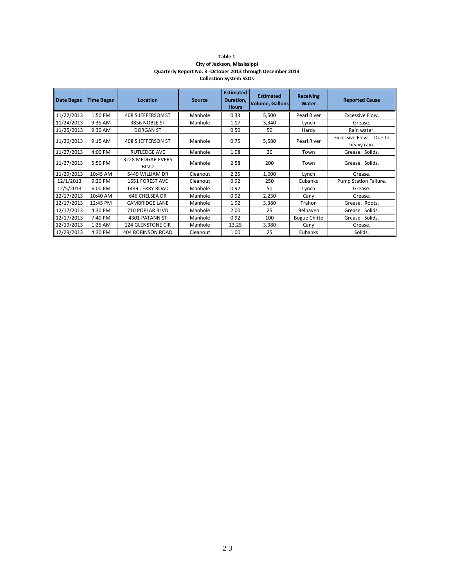| Table 1                                                    |
|------------------------------------------------------------|
| City of Jackson, Mississippi                               |
| Quarterly Report No. 3 -October 2013 through December 2013 |
| <b>Collection System SSOs</b>                              |

| <b>Date Began</b> | <b>Time Began</b> | Location                         | <b>Source</b> | <b>Estimated</b><br>Duration,<br><b>Hours</b> | <b>Estimated</b><br><b>Volume, Gallons</b> | <b>Receiving</b><br>Water | <b>Reported Cause</b>                    |
|-------------------|-------------------|----------------------------------|---------------|-----------------------------------------------|--------------------------------------------|---------------------------|------------------------------------------|
| 11/22/2013        | 1:50 PM           | 408 S JEFFERSON ST               | Manhole       | 0.33                                          | 5,500                                      | Pearl River               | Excessive Flow.                          |
| 11/24/2013        | 9:35 AM           | 3856 NOBLE ST                    | Manhole       | 1.17                                          | 3,340                                      | Lynch                     | Grease.                                  |
| 11/25/2013        | 9:30 AM           | <b>DORGAN ST</b>                 |               | 0.50                                          | 50                                         | Hardy                     | Rain water.                              |
| 11/26/2013        | $9:15$ AM         | 408 S JEFFERSON ST               | Manhole       | 0.75                                          | 5,580                                      | Pearl River               | Excessive Flow.<br>Due to<br>heavy rain. |
| 11/27/2013        | 4:00 PM           | <b>RUTLEDGE AVE</b>              | Manhole       | 1.08                                          | 20                                         | Town                      | Grease. Solids.                          |
| 11/27/2013        | 5:50 PM           | 3228 MEDGAR EVERS<br><b>BLVD</b> | Manhole       | 2.58                                          | 200                                        | Town                      | Grease. Solids.                          |
| 11/29/2013        | 10:45 AM          | 5449 WILLIAM DR                  | Cleanout      | 2.25                                          | 1,000                                      | Lynch                     | Grease.                                  |
| 12/1/2013         | $9:20$ PM         | 1651 FOREST AVE                  | Cleanout      | 0.92                                          | 250                                        | Eubanks                   | Pump Station Failure.                    |
| 12/5/2013         | 6:00 PM           | 1439 TERRY ROAD                  | Manhole       | 0.92                                          | 50                                         | Lynch                     | Grease.                                  |
| 12/17/2013        | 10:40 AM          | 646 CHELSEA DR                   | Manhole       | 0.92                                          | 2,230                                      | Cany                      | Grease.                                  |
| 12/17/2013        | 12:45 PM          | <b>CAMBRIDGE LANE</b>            | Manhole       | 1.92                                          | 3,380                                      | Trahon                    | Grease. Roots.                           |
| 12/17/2013        | 4:30 PM           | 710 POPLAR BLVD                  | Manhole       | 2.00                                          | 25                                         | Belhaven                  | Grease. Solids.                          |
| 12/17/2013        | 7:40 PM           | 4301 PATANN ST                   | Manhole       | 0.92                                          | 100                                        | <b>Bogue Chitto</b>       | Grease. Solids.                          |
| 12/19/2013        | 1:25 AM           | <b>124 GLENSTONE CIR</b>         | Manhole       | 13.25                                         | 3,380                                      | Cany                      | Grease.                                  |
| 12/29/2013        | 4:30 PM           | <b>404 ROBINSON ROAD</b>         | Cleanout      | 1.00                                          | 25                                         | Eubanks                   | Solids.                                  |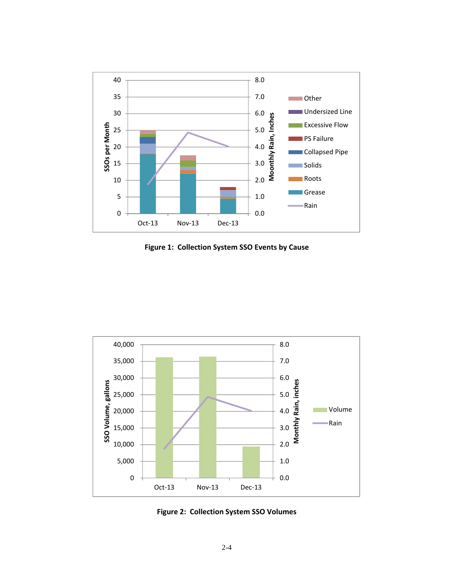

**Figure 1: Collection System SSO Events by Cause**



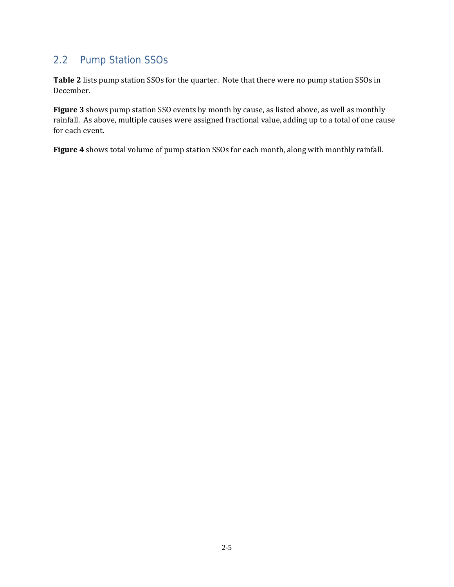#### 2.2 Pump Station SSOs

Table 2 lists pump station SSOs for the quarter. Note that there were no pump station SSOs in December. 

Figure 3 shows pump station SSO events by month by cause, as listed above, as well as monthly rainfall. As above, multiple causes were assigned fractional value, adding up to a total of one cause for each event.

Figure 4 shows total volume of pump station SSOs for each month, along with monthly rainfall.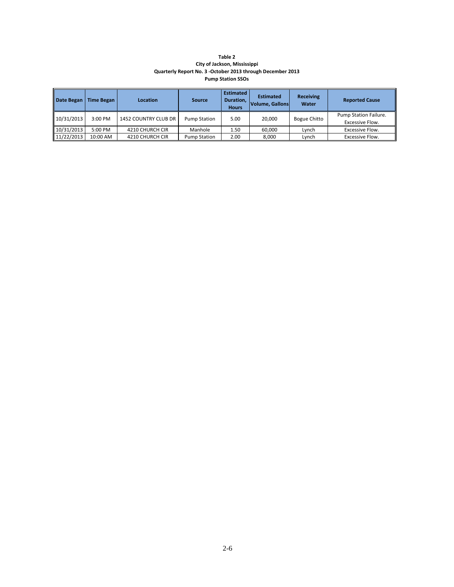#### **Table 2 City of Jackson, Mississippi Quarterly Report No. 3 ‐October 2013 through December 2013 Pump Station SSOs**

| Date Began | Time Began | Location             | Source              | <b>Estimated</b><br>Duration,<br><b>Hours</b> | <b>Estimated</b><br><b>Volume, Gallons</b> | <b>Receiving</b><br>Water | <b>Reported Cause</b>                    |
|------------|------------|----------------------|---------------------|-----------------------------------------------|--------------------------------------------|---------------------------|------------------------------------------|
| 10/31/2013 | $3:00$ PM  | 1452 COUNTRY CLUB DR | <b>Pump Station</b> | 5.00                                          | 20.000                                     | <b>Bogue Chitto</b>       | Pump Station Failure.<br>Excessive Flow. |
| 10/31/2013 | 5:00 PM    | 4210 CHURCH CIR      | Manhole             | 1.50                                          | 60.000                                     | Lvnch                     | Excessive Flow.                          |
| 11/22/2013 | 10:00 AM   | 4210 CHURCH CIR      | Pump Station        | 2.00                                          | 8.000                                      | Lynch                     | Excessive Flow.                          |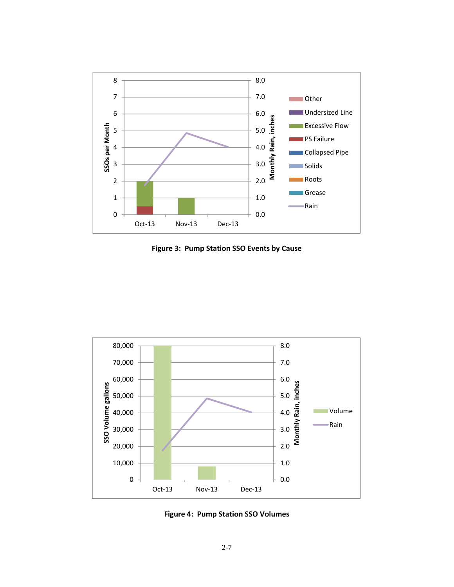

**Figure 3: Pump Station SSO Events by Cause**



**Figure 4: Pump Station SSO Volumes**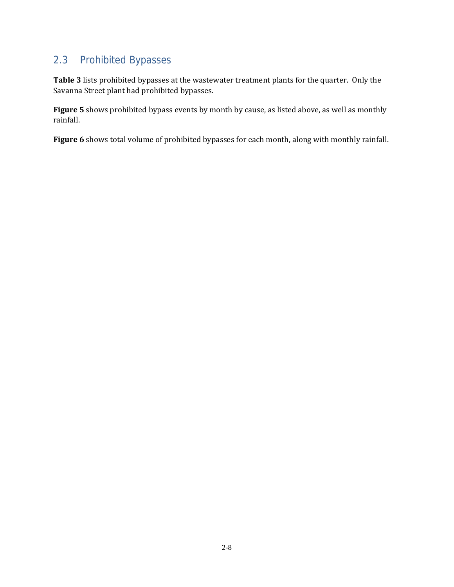#### 2.3 Prohibited Bypasses

Table 3 lists prohibited bypasses at the wastewater treatment plants for the quarter. Only the Savanna Street plant had prohibited bypasses.

**Figure** 5 shows prohibited bypass events by month by cause, as listed above, as well as monthly rainfall. 

Figure 6 shows total volume of prohibited bypasses for each month, along with monthly rainfall.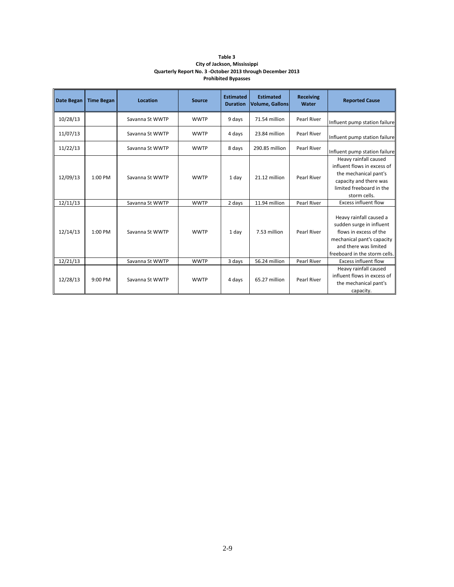| Table 3                                                    |
|------------------------------------------------------------|
| City of Jackson, Mississippi                               |
| Quarterly Report No. 3 -October 2013 through December 2013 |
| <b>Prohibited Bypasses</b>                                 |

| Date Began | <b>Time Began</b> | Location        | <b>Source</b> | <b>Estimated</b><br><b>Duration</b> | <b>Estimated</b><br><b>Volume, Gallons</b> | <b>Receiving</b><br>Water | <b>Reported Cause</b>                                                                                                                                                 |
|------------|-------------------|-----------------|---------------|-------------------------------------|--------------------------------------------|---------------------------|-----------------------------------------------------------------------------------------------------------------------------------------------------------------------|
| 10/28/13   |                   | Savanna St WWTP | <b>WWTP</b>   | 9 days                              | 71.54 million                              | <b>Pearl River</b>        | Influent pump station failure                                                                                                                                         |
| 11/07/13   |                   | Savanna St WWTP | <b>WWTP</b>   | 4 days                              | 23.84 million                              | <b>Pearl River</b>        | Influent pump station failure                                                                                                                                         |
| 11/22/13   |                   | Savanna St WWTP | <b>WWTP</b>   | 8 days                              | 290.85 million                             | <b>Pearl River</b>        | Influent pump station failure                                                                                                                                         |
| 12/09/13   | $1:00$ PM         | Savanna St WWTP | <b>WWTP</b>   | 1 day                               | 21.12 million                              | Pearl River               | Heavy rainfall caused<br>influent flows in excess of<br>the mechanical pant's<br>capacity and there was<br>limited freeboard in the<br>storm cells.                   |
| 12/11/13   |                   | Savanna St WWTP | <b>WWTP</b>   | 2 days                              | 11.94 million                              | <b>Pearl River</b>        | <b>Excess influent flow</b>                                                                                                                                           |
| 12/14/13   | $1:00$ PM         | Savanna St WWTP | <b>WWTP</b>   | 1 day                               | 7.53 million                               | <b>Pearl River</b>        | Heavy rainfall caused a<br>sudden surge in influent<br>flows in excess of the<br>mechanical pant's capacity<br>and there was limited<br>freeboard in the storm cells. |
| 12/21/13   |                   | Savanna St WWTP | <b>WWTP</b>   | 3 days                              | 56.24 million                              | <b>Pearl River</b>        | <b>Excess influent flow</b>                                                                                                                                           |
| 12/28/13   | $9:00$ PM         | Savanna St WWTP | <b>WWTP</b>   | 4 days                              | 65.27 million                              | Pearl River               | Heavy rainfall caused<br>influent flows in excess of<br>the mechanical pant's<br>capacity.                                                                            |